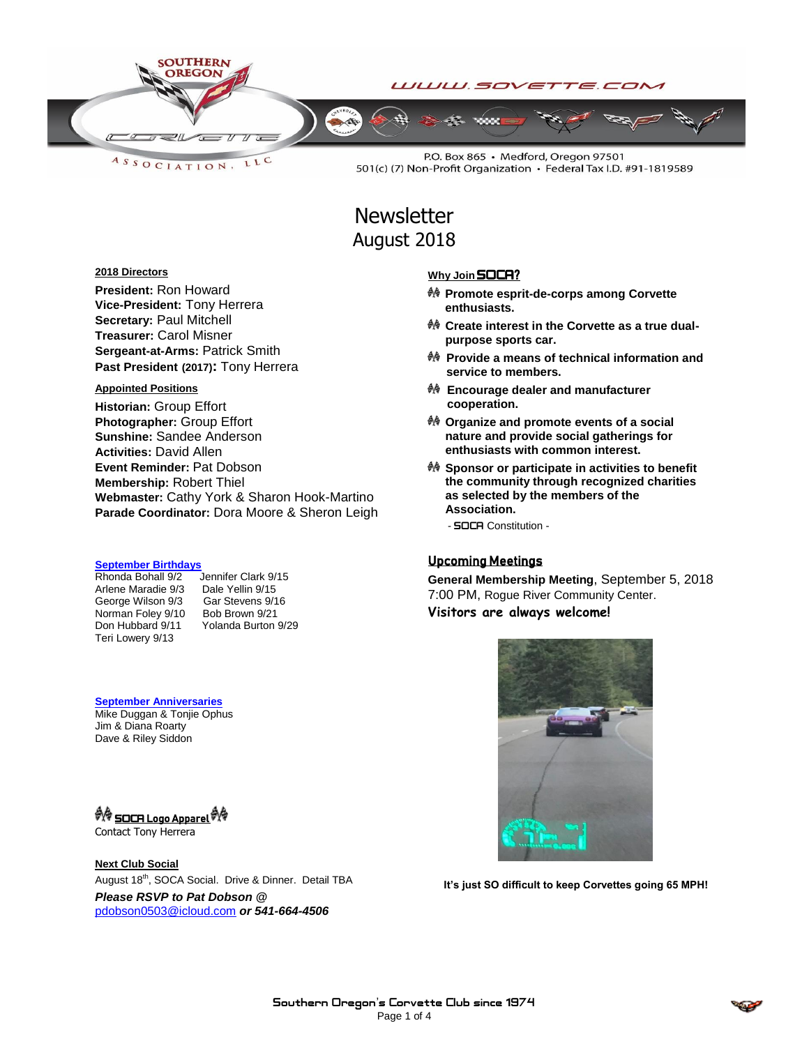

LLC ASSOCIATION.

P.O. Box 865 · Medford, Oregon 97501 501(c) (7) Non-Profit Organization · Federal Tax I.D. #91-1819589

# **Newsletter** August 2018

#### **2018 Directors**

**President:** Ron Howard **Vice-President:** Tony Herrera **Secretary:** Paul Mitchell **Treasurer:** Carol Misner **Sergeant-at-Arms:** Patrick Smith **Past President (2017):** Tony Herrera

#### **Appointed Positions**

**Historian:** Group Effort **Photographer:** Group Effort **Sunshine:** Sandee Anderson **Activities:** David Allen **Event Reminder:** Pat Dobson **Membership:** Robert Thiel **Webmaster:** Cathy York & Sharon Hook-Martino **Parade Coordinator:** Dora Moore & Sheron Leigh

# **September Birthdays**

Arlene Maradie 9/3 Dale Yellin 9/15<br>George Wilson 9/3 Gar Stevens 9/16 George Wilson 9/3 Norman Foley 9/10 Bob Brown 9/21<br>Don Hubbard 9/11 Yolanda Burton 9/29 Don Hubbard 9/11 Teri Lowery 9/13

Jennifer Clark  $9/15$ 

**September Anniversaries** Mike Duggan & Tonjie Ophus Jim & Diana Roarty Dave & Riley Siddon

### *ৰী*ৰি <u>SOCA Logo Apparel</u> দীৰি

Contact Tony Herrera

**Next Club Social** August 18<sup>th</sup>, SOCA Social. Drive & Dinner. Detail TBA *Please RSVP to Pat Dobson @*  [pdobson0503@icloud.com](mailto:pdobson0503@icloud.com) *or 541-664-4506*

#### **Why Join** SOCA?

- **Promote esprit-de-corps among Corvette enthusiasts.**
- **Create interest in the Corvette as a true dualpurpose sports car.**
- **Provide a means of technical information and service to members.**
- **Encourage dealer and manufacturer cooperation.**
- **Organize and promote events of a social nature and provide social gatherings for enthusiasts with common interest.**
- **Sponsor or participate in activities to benefit the community through recognized charities as selected by the members of the Association.**

- SOCA Constitution -

#### Upcoming Meetings

**General Membership Meeting**, September 5, 2018 7:00 PM, Rogue River Community Center. **Visitors are always welcome!**

**It's just SO difficult to keep Corvettes going 65 MPH!**

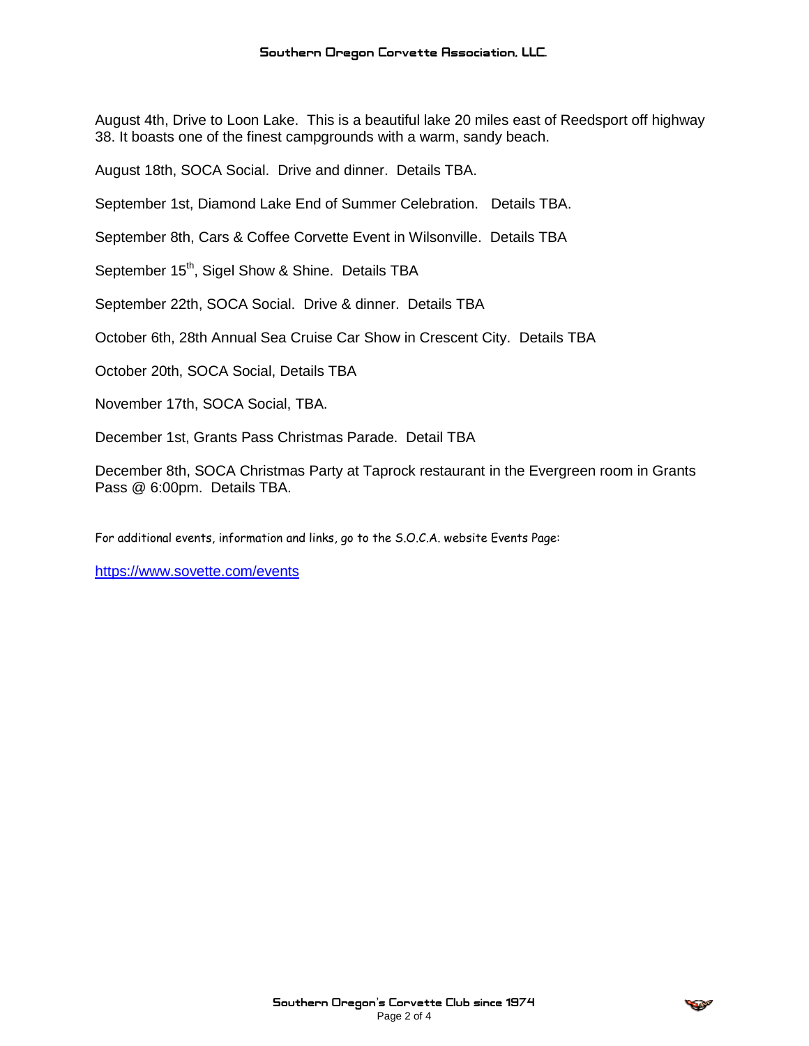August 4th, Drive to Loon Lake. This is a beautiful lake 20 miles east of Reedsport off highway 38. It boasts one of the finest campgrounds with a warm, sandy beach.

August 18th, SOCA Social. Drive and dinner. Details TBA.

September 1st, Diamond Lake End of Summer Celebration. Details TBA.

September 8th, Cars & Coffee Corvette Event in Wilsonville. Details TBA

September 15<sup>th</sup>, Sigel Show & Shine. Details TBA

September 22th, SOCA Social. Drive & dinner. Details TBA

October 6th, 28th Annual Sea Cruise Car Show in Crescent City. Details TBA

October 20th, SOCA Social, Details TBA

November 17th, SOCA Social, TBA.

December 1st, Grants Pass Christmas Parade. Detail TBA

December 8th, SOCA Christmas Party at Taprock restaurant in the Evergreen room in Grants Pass @ 6:00pm. Details TBA.

For additional events, information and links, go to the S.O.C.A. website Events Page:

<https://www.sovette.com/events>

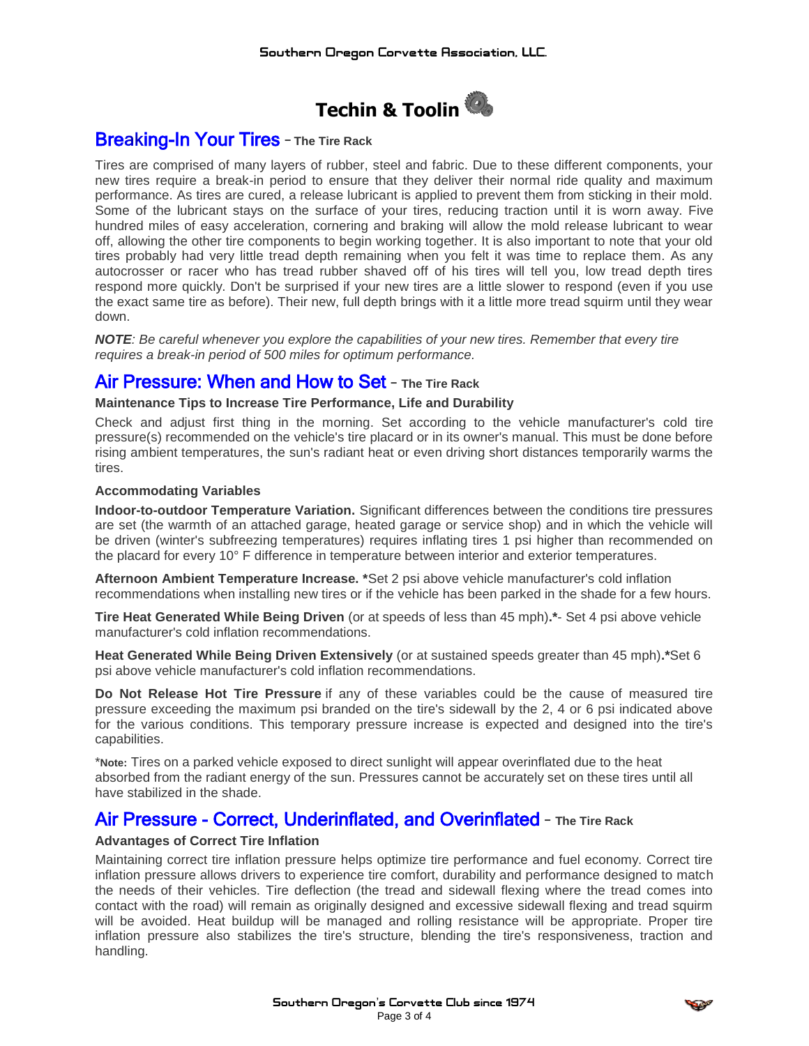

# **Breaking-In Your Tires - The Tire Rack**

Tires are comprised of many layers of rubber, steel and fabric. Due to these different components, your new tires require a break-in period to ensure that they deliver their normal ride quality and maximum performance. As tires are cured, a release lubricant is applied to prevent them from sticking in their mold. Some of the lubricant stays on the surface of your tires, reducing traction until it is worn away. Five hundred miles of easy acceleration, cornering and braking will allow the mold release lubricant to wear off, allowing the other tire components to begin working together. It is also important to note that your old tires probably had very little tread depth remaining when you felt it was time to replace them. As any autocrosser or racer who has tread rubber shaved off of his tires will tell you, low tread depth tires respond more quickly. Don't be surprised if your new tires are a little slower to respond (even if you use the exact same tire as before). Their new, full depth brings with it a little more tread squirm until they wear down.

*NOTE: Be careful whenever you explore the capabilities of your new tires. Remember that every tire requires a break-in period of 500 miles for optimum performance.*

## Air Pressure: When and How to Set – **The Tire Rack**

#### **Maintenance Tips to Increase Tire Performance, Life and Durability**

Check and adjust first thing in the morning. Set according to the vehicle manufacturer's cold tire pressure(s) recommended on the vehicle's tire placard or in its owner's manual. This must be done before rising ambient temperatures, the sun's radiant heat or even driving short distances temporarily warms the tires.

#### **Accommodating Variables**

**Indoor-to-outdoor Temperature Variation.** Significant differences between the conditions tire pressures are set (the warmth of an attached garage, heated garage or service shop) and in which the vehicle will be driven (winter's subfreezing temperatures) requires inflating tires 1 psi higher than recommended on the placard for every 10° F difference in temperature between interior and exterior temperatures.

**Afternoon Ambient Temperature Increase. \***Set 2 psi above vehicle manufacturer's cold inflation recommendations when installing new tires or if the vehicle has been parked in the shade for a few hours.

**Tire Heat Generated While Being Driven** (or at speeds of less than 45 mph)**.\***- Set 4 psi above vehicle manufacturer's cold inflation recommendations.

**Heat Generated While Being Driven Extensively** (or at sustained speeds greater than 45 mph)**.\***Set 6 psi above vehicle manufacturer's cold inflation recommendations.

**Do Not Release Hot Tire Pressure** if any of these variables could be the cause of measured tire pressure exceeding the maximum psi branded on the tire's sidewall by the 2, 4 or 6 psi indicated above for the various conditions. This temporary pressure increase is expected and designed into the tire's capabilities.

\***Note:** Tires on a parked vehicle exposed to direct sunlight will appear overinflated due to the heat absorbed from the radiant energy of the sun. Pressures cannot be accurately set on these tires until all have stabilized in the shade.

## Air Pressure - Correct, Underinflated, and Overinflated – **The Tire Rack**

#### **Advantages of Correct Tire Inflation**

Maintaining correct tire inflation pressure helps optimize tire performance and fuel economy. Correct tire inflation pressure allows drivers to experience tire comfort, durability and performance designed to match the needs of their vehicles. Tire deflection (the tread and sidewall flexing where the tread comes into contact with the road) will remain as originally designed and excessive sidewall flexing and tread squirm will be avoided. Heat buildup will be managed and rolling resistance will be appropriate. Proper tire inflation pressure also stabilizes the tire's structure, blending the tire's responsiveness, traction and handling.